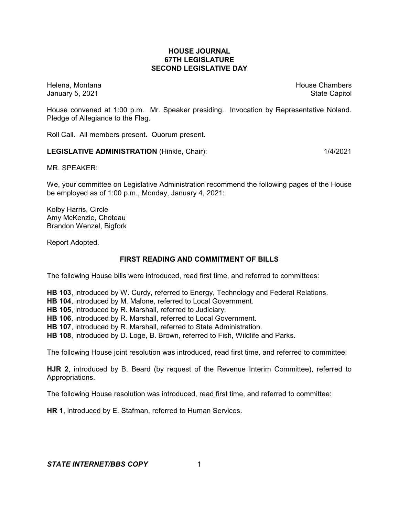## **HOUSE JOURNAL 67TH LEGISLATURE SECOND LEGISLATIVE DAY**

Helena, Montana **House Chambers** House Chambers **House Chambers** House Chambers **House Chambers** January 5, 2021 **State Capitol** 

House convened at 1:00 p.m. Mr. Speaker presiding. Invocation by Representative Noland. Pledge of Allegiance to the Flag.

Roll Call. All members present. Quorum present.

#### **LEGISLATIVE ADMINISTRATION** (Hinkle, Chair): 1/4/2021

MR. SPEAKER:

We, your committee on Legislative Administration recommend the following pages of the House be employed as of 1:00 p.m., Monday, January 4, 2021:

Kolby Harris, Circle Amy McKenzie, Choteau Brandon Wenzel, Bigfork

Report Adopted.

## **FIRST READING AND COMMITMENT OF BILLS**

The following House bills were introduced, read first time, and referred to committees:

**HB 103**, introduced by W. Curdy, referred to Energy, Technology and Federal Relations.

**HB 104**, introduced by M. Malone, referred to Local Government.

**HB 105**, introduced by R. Marshall, referred to Judiciary.

**HB 106**, introduced by R. Marshall, referred to Local Government.

**HB 107**, introduced by R. Marshall, referred to State Administration.

**HB 108**, introduced by D. Loge, B. Brown, referred to Fish, Wildlife and Parks.

The following House joint resolution was introduced, read first time, and referred to committee:

**HJR 2**, introduced by B. Beard (by request of the Revenue Interim Committee), referred to Appropriations.

The following House resolution was introduced, read first time, and referred to committee:

**HR 1**, introduced by E. Stafman, referred to Human Services.